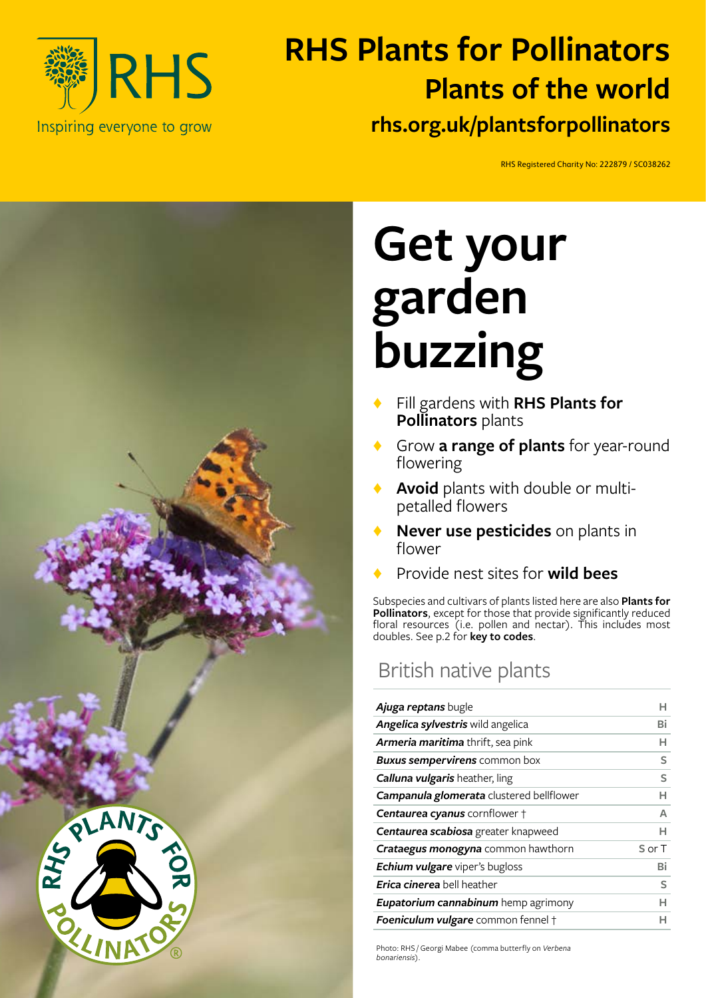

# **RHS Plants for Pollinators rhs.org.uk/plantsforpollinators Plants of the world**

RHS Registered Charity No: 222879 / SC038262 RHS Registered Charity No: 222879 / SC038262



# **Get your garden buzzing**

- Fill gardens with RHS Plants for **Pollinators** plants
- Grow **a range of plants** for year-round flowering
- Avoid plants with double or multipetalled flowers
- **Never use pesticides** on plants in flower
- ♦ Provide nest sites for **wild bees**

Subspecies and cultivars of plants listed here are also **Plants for Pollinators**, except for those that provide significantly reduced floral resources (i.e. pollen and nectar). This includes most doubles. See p.2 for **key to codes**.

## British native plants

| Ajuga reptans bugle                        | н      |
|--------------------------------------------|--------|
| <b>Angelica sylvestris</b> wild angelica   | Bi     |
| Armeria maritima thrift, sea pink          | н      |
| <b>Buxus sempervirens</b> common box       | S      |
| <b>Calluna vulgaris</b> heather, ling      | S      |
| Campanula glomerata clustered bellflower   | н      |
| Centaurea cyanus cornflower +              | A      |
| Centaurea scabiosa greater knapweed        | н      |
| <b>Crataegus monogyna</b> common hawthorn  | S or T |
| Echium vulgare viper's bugloss             | Bi     |
| <b>Erica cinerea</b> bell heather          | S      |
| <b>Eupatorium cannabinum</b> hemp agrimony | н      |
| Foeniculum vulgare common fennel +         | н      |

Photo: RHS / Georgi Mabee (comma butterfly on *Verbena bonariensis*).